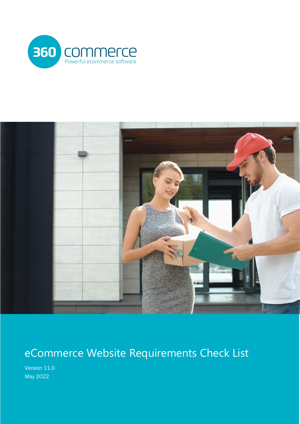



# eCommerce Website Requirements Check List

Version 11.0 May 2022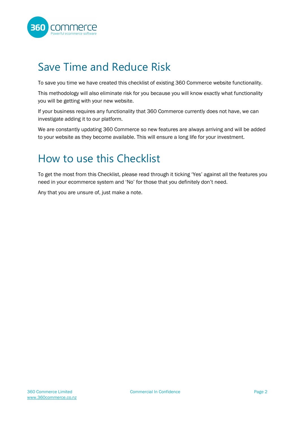

#### <span id="page-1-0"></span>Save Time and Reduce Risk

To save you time we have created this checklist of existing 360 Commerce website functionality.

This methodology will also eliminate risk for you because you will know exactly what functionality you will be getting with your new website.

If your business requires any functionality that 360 Commerce currently does not have, we can investigate adding it to our platform.

We are constantly updating 360 Commerce so new features are always arriving and will be added to your website as they become available. This will ensure a long life for your investment.

#### <span id="page-1-1"></span>How to use this Checklist

To get the most from this Checklist, please read through it ticking 'Yes' against all the features you need in your ecommerce system and 'No' for those that you definitely don't need.

Any that you are unsure of, just make a note.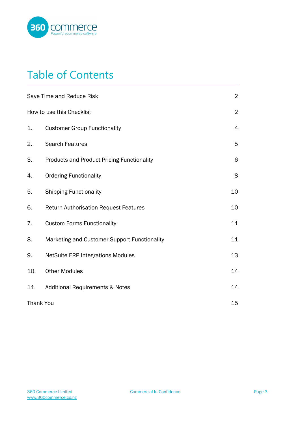

## Table of Contents

|     | Save Time and Reduce Risk                         | $\overline{2}$ |
|-----|---------------------------------------------------|----------------|
|     | How to use this Checklist                         | $\overline{2}$ |
| 1.  | <b>Customer Group Functionality</b>               | $\overline{4}$ |
| 2.  | <b>Search Features</b>                            | 5              |
| 3.  | <b>Products and Product Pricing Functionality</b> | 6              |
| 4.  | <b>Ordering Functionality</b>                     | 8              |
| 5.  | <b>Shipping Functionality</b>                     | 10             |
| 6.  | <b>Return Authorisation Request Features</b>      | 10             |
| 7.  | <b>Custom Forms Functionality</b>                 | 11             |
| 8.  | Marketing and Customer Support Functionality      | 11             |
| 9.  | <b>NetSuite ERP Integrations Modules</b>          | 13             |
| 10. | <b>Other Modules</b>                              | 14             |
| 11. | <b>Additional Requirements &amp; Notes</b>        | 14             |
|     | <b>Thank You</b>                                  | 15             |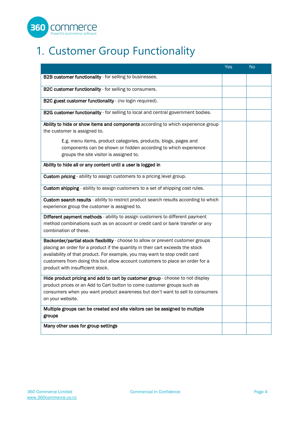

# <span id="page-3-0"></span>1. Customer Group Functionality

|                                                                                                                                                                                                                                                                                                                                                                        | <b>Yes</b> | <b>No</b> |
|------------------------------------------------------------------------------------------------------------------------------------------------------------------------------------------------------------------------------------------------------------------------------------------------------------------------------------------------------------------------|------------|-----------|
| B2B customer functionality - for selling to businesses.                                                                                                                                                                                                                                                                                                                |            |           |
| B2C customer functionality - for selling to consumers.                                                                                                                                                                                                                                                                                                                 |            |           |
| B2C guest customer functionality - (no login required).                                                                                                                                                                                                                                                                                                                |            |           |
| B2G customer functionality - for selling to local and central government bodies.                                                                                                                                                                                                                                                                                       |            |           |
| Ability to hide or show items and components according to which experience group<br>the customer is assigned to.                                                                                                                                                                                                                                                       |            |           |
| E.g. menu items, product categories, products, blogs, pages and<br>components can be shown or hidden according to which experience<br>groups the site visitor is assigned to.                                                                                                                                                                                          |            |           |
| Ability to hide all or any content until a user is logged in                                                                                                                                                                                                                                                                                                           |            |           |
| Custom pricing - ability to assign customers to a pricing level group.                                                                                                                                                                                                                                                                                                 |            |           |
| Custom shipping - ability to assign customers to a set of shipping cost rules.                                                                                                                                                                                                                                                                                         |            |           |
| Custom search results - ability to restrict product search results according to which<br>experience group the customer is assigned to.                                                                                                                                                                                                                                 |            |           |
| Different payment methods - ability to assign customers to different payment<br>method combinations such as on account or credit card or bank transfer or any<br>combination of these.                                                                                                                                                                                 |            |           |
| Backorder/partial stock flexibility - choose to allow or prevent customer groups<br>placing an order for a product if the quantity in their cart exceeds the stock<br>availability of that product. For example, you may want to stop credit card<br>customers from doing this but allow account customers to place an order for a<br>product with insufficient stock. |            |           |
| Hide product pricing and add to cart by customer group - choose to not display<br>product prices or an Add to Cart button to come customer groups such as<br>consumers when you want product awareness but don't want to sell to consumers<br>on your website.                                                                                                         |            |           |
| Multiple groups can be created and site visitors can be assigned to multiple<br>groups                                                                                                                                                                                                                                                                                 |            |           |
| Many other uses for group settings                                                                                                                                                                                                                                                                                                                                     |            |           |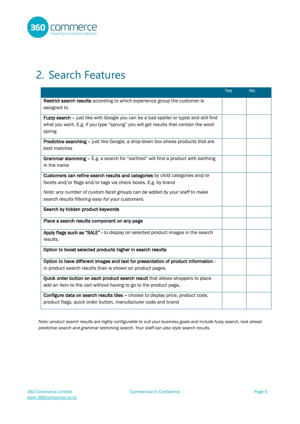

#### <span id="page-4-0"></span>2. Search Features

|                                                                                                                                                                                         | <b>Yes</b> | <b>No</b> |
|-----------------------------------------------------------------------------------------------------------------------------------------------------------------------------------------|------------|-----------|
| Restrict search results according to which experience group the customer is<br>assigned to.                                                                                             |            |           |
| Fuzzy search - just like with Google you can be a bad speller or typist and still find<br>what you want. E.g. if you type "sprung" you will get results that contain the word<br>spring |            |           |
| <b>Predictive searching - just like Google, a drop-down box shows products that are</b><br>best matches                                                                                 |            |           |
| Grammar stemming - E.g. a search for "earthed" will find a product with earthing<br>in the name                                                                                         |            |           |
| Customers can refine search results and categories by child categories and/or<br>facets and/or flags and/or tags via check boxes. E.g. by brand                                         |            |           |
| Note: any number of custom facet groups can be added by your staff to make<br>search results filtering easy for your customers.                                                         |            |           |
| Search by hidden product keywords                                                                                                                                                       |            |           |
| Place a search results component on any page                                                                                                                                            |            |           |
| Apply flags such as "SALE" - to display on selected product images in the search<br>results.                                                                                            |            |           |
| Option to boost selected products higher in search results                                                                                                                              |            |           |
| Option to have different images and text for presentation of product information -<br>in product search results than is shown on product pages.                                         |            |           |
| Quick order button on each product search result that allows shoppers to place<br>add an item to the cart without having to go to the product page.                                     |            |           |
| Configure data on search results tiles - choose to display price, product code,<br>product flags, quick order button, manufacturer code and brand                                       |            |           |

*Note: product search results are highly configurable to suit your business goals and include fuzzy search, look ahead predictive search and grammar stemming search. Your staff can also style search results.*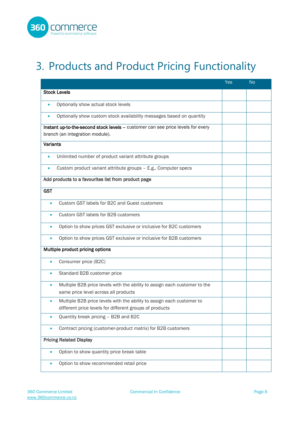

# <span id="page-5-0"></span>3. Products and Product Pricing Functionality

|            |                                                                                 | <b>Yes</b> | <b>No</b> |
|------------|---------------------------------------------------------------------------------|------------|-----------|
|            | <b>Stock Levels</b>                                                             |            |           |
| $\bullet$  | Optionally show actual stock levels                                             |            |           |
| $\bullet$  | Optionally show custom stock availability messages based on quantity            |            |           |
|            | Instant up-to-the-second stock levels - customer can see price levels for every |            |           |
|            | branch (an integration module).                                                 |            |           |
| Variants   |                                                                                 |            |           |
| $\bullet$  | Unlimited number of product variant attribute groups                            |            |           |
| $\bullet$  | Custom product variant attribute groups - E.g., Computer specs                  |            |           |
|            | Add products to a favourites list from product page                             |            |           |
| <b>GST</b> |                                                                                 |            |           |
|            | Custom GST labels for B2C and Guest customers                                   |            |           |
|            | Custom GST labels for B2B customers                                             |            |           |
| $\bullet$  | Option to show prices GST exclusive or inclusive for B2C customers              |            |           |
|            | Option to show prices GST exclusive or inclusive for B2B customers              |            |           |
|            | Multiple product pricing options                                                |            |           |
|            | Consumer price (B2C)                                                            |            |           |
|            | Standard B2B customer price                                                     |            |           |
|            | Multiple B2B price levels with the ability to assign each customer to the       |            |           |
|            | same price level across all products                                            |            |           |
|            | Multiple B2B price levels with the ability to assign each customer to           |            |           |
|            | different price levels for different groups of products                         |            |           |
|            | Quantity break pricing - B2B and B2C                                            |            |           |
|            | Contract pricing (customer-product matrix) for B2B customers                    |            |           |
|            | <b>Pricing Related Display</b>                                                  |            |           |
|            | Option to show quantity price break table                                       |            |           |
|            | Option to show recommended retail price                                         |            |           |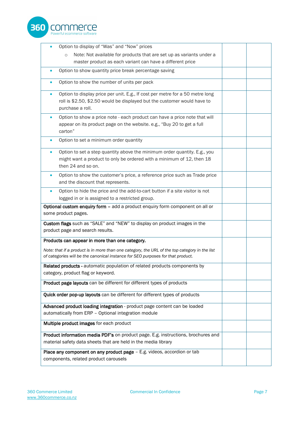

| Option to display of "Was" and "Now" prices                                                                                                                                                |  |
|--------------------------------------------------------------------------------------------------------------------------------------------------------------------------------------------|--|
| Note: Not available for products that are set up as variants under a<br>$\circ$                                                                                                            |  |
| master product as each variant can have a different price                                                                                                                                  |  |
| Option to show quantity price break percentage saving                                                                                                                                      |  |
| Option to show the number of units per pack                                                                                                                                                |  |
| Option to display price per unit. E.g., If cost per metre for a 50 metre long<br>$\bullet$<br>roll is \$2.50, \$2.50 would be displayed but the customer would have to<br>purchase a roll. |  |
| Option to show a price note - each product can have a price note that will<br>appear on its product page on the website. e.g., "Buy 20 to get a full<br>carton"                            |  |
| Option to set a minimum order quantity<br>$\bullet$                                                                                                                                        |  |
| Option to set a step quantity above the minimum order quantity. E.g., you<br>$\bullet$<br>might want a product to only be ordered with a minimum of 12, then 18<br>then 24 and so on.      |  |
| Option to show the customer's price, a reference price such as Trade price<br>$\bullet$<br>and the discount that represents.                                                               |  |
| Option to hide the price and the add-to-cart button if a site visitor is not<br>logged in or is assigned to a restricted group.                                                            |  |
| Optional custom enquiry form - add a product enquiry form component on all or<br>some product pages.                                                                                       |  |
| Custom flags such as "SALE" and "NEW" to display on product images in the<br>product page and search results.                                                                              |  |
| Products can appear in more than one category.                                                                                                                                             |  |
| Note: that if a product is in more than one category, the URL of the top category in the list<br>of categories will be the canonical instance for SEO purposes for that product.           |  |
| Related products - automatic population of related products components by<br>category, product flag or keyword.                                                                            |  |
| Product page layouts can be different for different types of products                                                                                                                      |  |
| Quick order pop-up layouts can be different for different types of products                                                                                                                |  |
| Advanced product loading integration - product page content can be loaded<br>automatically from ERP - Optional integration module                                                          |  |
| Multiple product images for each product                                                                                                                                                   |  |
| Product information media PDF's on product page. E.g. instructions, brochures and<br>material safety data sheets that are held in the media library                                        |  |
| Place any component on any product page - E.g. videos, accordion or tab<br>components, related product carousels                                                                           |  |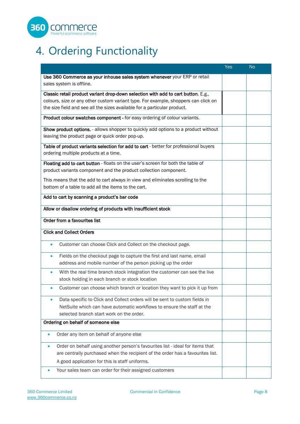

# <span id="page-7-0"></span>4. Ordering Functionality

|                                                                                            | <b>Yes</b> | <b>No</b> |
|--------------------------------------------------------------------------------------------|------------|-----------|
| Use 360 Commerce as your inhouse sales system whenever your ERP or retail                  |            |           |
| sales system is offline.                                                                   |            |           |
| Classic retail product variant drop-down selection with add to cart button. E.g.,          |            |           |
| colours, size or any other custom variant type. For example, shoppers can click on         |            |           |
| the size field and see all the sizes available for a particular product.                   |            |           |
| Product colour swatches component - for easy ordering of colour variants.                  |            |           |
| Show product options. - allows shopper to quickly add options to a product without         |            |           |
| leaving the product page or quick order pop-up.                                            |            |           |
| Table of product variants selection for add to cart - better for professional buyers       |            |           |
| ordering multiple products at a time.                                                      |            |           |
| Floating add to cart button - floats on the user's screen for both the table of            |            |           |
| product variants component and the product collection component.                           |            |           |
| This means that the add to cart always in view and eliminates scrolling to the             |            |           |
| bottom of a table to add all the items to the cart.                                        |            |           |
| Add to cart by scanning a product's bar code                                               |            |           |
|                                                                                            |            |           |
| Allow or disallow ordering of products with insufficient stock                             |            |           |
| Order from a favourites list                                                               |            |           |
| <b>Click and Collect Orders</b>                                                            |            |           |
| Customer can choose Click and Collect on the checkout page.                                |            |           |
| Fields on the checkout page to capture the first and last name, email                      |            |           |
| address and mobile number of the person picking up the order                               |            |           |
| With the real time branch stock integration the customer can see the live<br>$\bullet$     |            |           |
| stock holding in each branch or stock location                                             |            |           |
| Customer can choose which branch or location they want to pick it up from<br>$\bullet$     |            |           |
| Data specific to Click and Collect orders will be sent to custom fields in<br>$\bullet$    |            |           |
| NetSuite which can have automatic workflows to ensure the staff at the                     |            |           |
| selected branch start work on the order.                                                   |            |           |
| Ordering on behalf of someone else                                                         |            |           |
| Order any item on behalf of anyone else<br>$\bullet$                                       |            |           |
| Order on behalf using another person's favourites list - ideal for items that<br>$\bullet$ |            |           |
| are centrally purchased when the recipient of the order has a favourites list.             |            |           |
| A good application for this is staff uniforms.                                             |            |           |
|                                                                                            |            |           |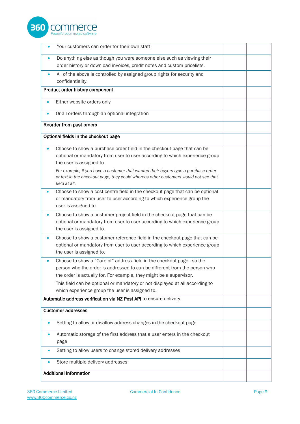

|           | Your customers can order for their own staff                                                                                                        |  |
|-----------|-----------------------------------------------------------------------------------------------------------------------------------------------------|--|
|           | Do anything else as though you were someone else such as viewing their                                                                              |  |
|           | order history or download invoices, credit notes and custom pricelists.                                                                             |  |
| $\bullet$ | All of the above is controlled by assigned group rights for security and                                                                            |  |
|           | confidentiality.                                                                                                                                    |  |
|           | Product order history component                                                                                                                     |  |
| $\bullet$ | Either website orders only                                                                                                                          |  |
| $\bullet$ | Or all orders through an optional integration                                                                                                       |  |
|           | Reorder from past orders                                                                                                                            |  |
|           | Optional fields in the checkout page                                                                                                                |  |
|           | Choose to show a purchase order field in the checkout page that can be                                                                              |  |
|           | optional or mandatory from user to user according to which experience group                                                                         |  |
|           | the user is assigned to.                                                                                                                            |  |
|           | For example, if you have a customer that wanted their buyers type a purchase order                                                                  |  |
|           | or text in the checkout page, they could whereas other customers would not see that<br>field at all.                                                |  |
| $\bullet$ | Choose to show a cost centre field in the checkout page that can be optional                                                                        |  |
|           | or mandatory from user to user according to which experience group the                                                                              |  |
|           | user is assigned to.                                                                                                                                |  |
| $\bullet$ | Choose to show a customer project field in the checkout page that can be                                                                            |  |
|           | optional or mandatory from user to user according to which experience group                                                                         |  |
|           | the user is assigned to.                                                                                                                            |  |
| $\bullet$ | Choose to show a customer reference field in the checkout page that can be                                                                          |  |
|           | optional or mandatory from user to user according to which experience group                                                                         |  |
|           | the user is assigned to.                                                                                                                            |  |
|           | Choose to show a "Care of" address field in the checkout page - so the                                                                              |  |
|           | person who the order is addressed to can be different from the person who                                                                           |  |
|           | the order is actually for. For example, they might be a supervisor.<br>This field can be optional or mandatory or not displayed at all according to |  |
|           | which experience group the user is assigned to.                                                                                                     |  |
|           | Automatic address verification via NZ Post API to ensure delivery.                                                                                  |  |
|           |                                                                                                                                                     |  |
|           | <b>Customer addresses</b>                                                                                                                           |  |
|           | Setting to allow or disallow address changes in the checkout page                                                                                   |  |
|           | Automatic storage of the first address that a user enters in the checkout                                                                           |  |
|           | page                                                                                                                                                |  |
|           | Setting to allow users to change stored delivery addresses                                                                                          |  |
|           | Store multiple delivery addresses                                                                                                                   |  |
|           | <b>Additional information</b>                                                                                                                       |  |
|           |                                                                                                                                                     |  |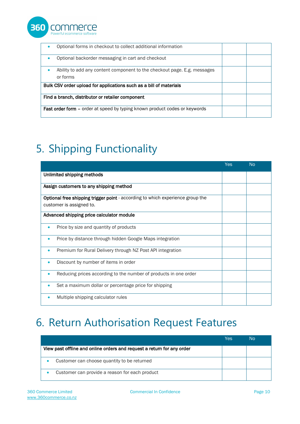

| Optional forms in checkout to collect additional information<br>$\bullet$                 |  |  |
|-------------------------------------------------------------------------------------------|--|--|
| Optional backorder messaging in cart and checkout<br>$\bullet$                            |  |  |
| Ability to add any content component to the checkout page. E.g. messages<br>٠<br>or forms |  |  |
| Bulk CSV order upload for applications such as a bill of materials                        |  |  |
| Find a branch, distributor or retailer component                                          |  |  |
| <b>Fast order form –</b> order at speed by typing known product codes or keywords         |  |  |

# <span id="page-9-0"></span>5. Shipping Functionality

|                                                                                | <b>Yes</b> | <b>No</b> |
|--------------------------------------------------------------------------------|------------|-----------|
| Unlimited shipping methods                                                     |            |           |
| Assign customers to any shipping method                                        |            |           |
| Optional free shipping trigger point - according to which experience group the |            |           |
| customer is assigned to.                                                       |            |           |
| Advanced shipping price calculator module                                      |            |           |
| Price by size and quantity of products<br>۰                                    |            |           |
| Price by distance through hidden Google Maps integration<br>۰                  |            |           |
| Premium for Rural Delivery through NZ Post API integration<br>۰                |            |           |
| Discount by number of items in order<br>۰                                      |            |           |
| Reducing prices according to the number of products in one order<br>۰          |            |           |
| Set a maximum dollar or percentage price for shipping                          |            |           |
| Multiple shipping calculator rules                                             |            |           |

#### <span id="page-9-1"></span>6. Return Authorisation Request Features

|                                                                        | Yes | N٥ |
|------------------------------------------------------------------------|-----|----|
| View past offline and online orders and request a return for any order |     |    |
| Customer can choose quantity to be returned                            |     |    |
| Customer can provide a reason for each product                         |     |    |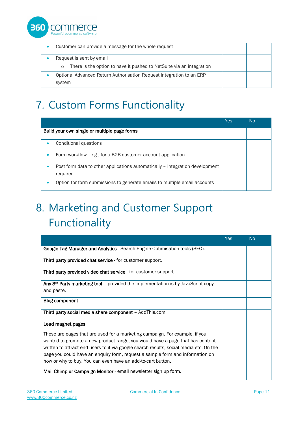

| Customer can provide a message for the whole request                                                        |  |
|-------------------------------------------------------------------------------------------------------------|--|
| Request is sent by email<br>There is the option to have it pushed to NetSuite via an integration<br>$\circ$ |  |
| Optional Advanced Return Authorisation Request integration to an ERP<br>system                              |  |

## <span id="page-10-0"></span>7. Custom Forms Functionality

|                                                                                               | Yes | No |
|-----------------------------------------------------------------------------------------------|-----|----|
| Build your own single or multiple page forms                                                  |     |    |
| Conditional questions                                                                         |     |    |
| Form workflow - e.g., for a B2B customer account application.<br>$\bullet$                    |     |    |
| Post form data to other applications automatically - integration development<br>۰<br>required |     |    |
| Option for form submissions to generate emails to multiple email accounts                     |     |    |

# <span id="page-10-1"></span>8. Marketing and Customer Support Functionality

|                                                                                                                                                                                                                                                                                                                                                                                                        | <b>Yes</b> | <b>No</b> |
|--------------------------------------------------------------------------------------------------------------------------------------------------------------------------------------------------------------------------------------------------------------------------------------------------------------------------------------------------------------------------------------------------------|------------|-----------|
| Google Tag Manager and Analytics - Search Engine Optimisation tools (SEO).                                                                                                                                                                                                                                                                                                                             |            |           |
| Third party provided chat service - for customer support.                                                                                                                                                                                                                                                                                                                                              |            |           |
| Third party provided video chat service - for customer support.                                                                                                                                                                                                                                                                                                                                        |            |           |
| Any $3rd$ Party marketing tool – provided the implementation is by JavaScript copy<br>and paste.                                                                                                                                                                                                                                                                                                       |            |           |
| <b>Blog component</b>                                                                                                                                                                                                                                                                                                                                                                                  |            |           |
| Third party social media share component - AddThis.com                                                                                                                                                                                                                                                                                                                                                 |            |           |
| Lead magnet pages                                                                                                                                                                                                                                                                                                                                                                                      |            |           |
| These are pages that are used for a marketing campaign. For example, if you<br>wanted to promote a new product range, you would have a page that has content<br>written to attract end users to it via google search results, social media etc. On the<br>page you could have an enquiry form, request a sample form and information on<br>how or why to buy. You can even have an add-to-cart button. |            |           |
| Mail Chimp or Campaign Monitor - email newsletter sign up form.                                                                                                                                                                                                                                                                                                                                        |            |           |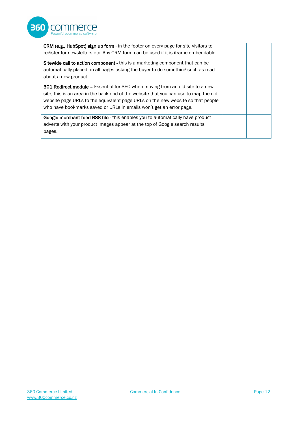

| CRM (e.g., HubSpot) sign up form - in the footer on every page for site visitors to   |  |
|---------------------------------------------------------------------------------------|--|
| register for newsletters etc. Any CRM form can be used if it is iframe embeddable.    |  |
| Sitewide call to action component - this is a marketing component that can be         |  |
| automatically placed on all pages asking the buyer to do something such as read       |  |
| about a new product.                                                                  |  |
| 301 Redirect module - Essential for SEO when moving from an old site to a new         |  |
| site, this is an area in the back end of the website that you can use to map the old  |  |
| website page URLs to the equivalent page URLs on the new website so that people       |  |
| who have bookmarks saved or URLs in emails won't get an error page.                   |  |
| <b>Google merchant feed RSS file - this enables you to automatically have product</b> |  |
| adverts with your product images appear at the top of Google search results           |  |
| pages.                                                                                |  |
|                                                                                       |  |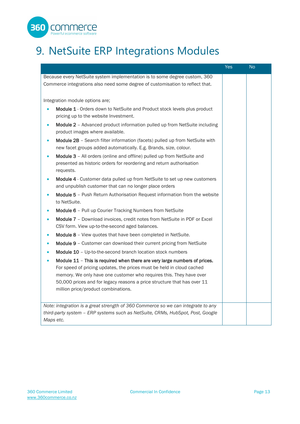

# <span id="page-12-0"></span>9. NetSuite ERP Integrations Modules

|                                                                                                                                                                                                                                                                                                                                                          | Yes | <b>No</b> |
|----------------------------------------------------------------------------------------------------------------------------------------------------------------------------------------------------------------------------------------------------------------------------------------------------------------------------------------------------------|-----|-----------|
| Because every NetSuite system implementation is to some degree custom, 360<br>Commerce integrations also need some degree of customisation to reflect that.                                                                                                                                                                                              |     |           |
| Integration module options are;                                                                                                                                                                                                                                                                                                                          |     |           |
| Module 1 - Orders down to NetSuite and Product stock levels plus product<br>$\bullet$<br>pricing up to the website Investment.                                                                                                                                                                                                                           |     |           |
| Module 2 - Advanced product information pulled up from NetSuite including<br>$\bullet$<br>product images where available.                                                                                                                                                                                                                                |     |           |
| Module 2B - Search filter information (facets) pulled up from NetSuite with<br>$\bullet$<br>new facet groups added automatically. E.g. Brands, size, colour.                                                                                                                                                                                             |     |           |
| Module 3 - All orders (online and offline) pulled up from NetSuite and<br>$\bullet$<br>presented as historic orders for reordering and return authorisation<br>requests.                                                                                                                                                                                 |     |           |
| Module 4 - Customer data pulled up from NetSuite to set up new customers<br>$\bullet$<br>and unpublish customer that can no longer place orders                                                                                                                                                                                                          |     |           |
| Module 5 - Push Return Authorisation Request information from the website<br>$\bullet$<br>to NetSuite.                                                                                                                                                                                                                                                   |     |           |
| Module 6 - Pull up Courier Tracking Numbers from NetSuite<br>$\bullet$                                                                                                                                                                                                                                                                                   |     |           |
| Module 7 - Download invoices, credit notes from NetSuite in PDF or Excel<br>$\bullet$<br>CSV form. View up-to-the-second aged balances.                                                                                                                                                                                                                  |     |           |
| Module 8 - View quotes that have been completed in NetSuite.<br>$\bullet$                                                                                                                                                                                                                                                                                |     |           |
| Module 9 - Customer can download their current pricing from NetSuite<br>$\bullet$                                                                                                                                                                                                                                                                        |     |           |
| Module 10 - Up-to-the-second branch location stock numbers<br>$\bullet$                                                                                                                                                                                                                                                                                  |     |           |
| Module 11 - This is required when there are very large numbers of prices.<br>$\bullet$<br>For speed of pricing updates, the prices must be held in cloud cached<br>memory. We only have one customer who requires this. They have over<br>50,000 prices and for legacy reasons a price structure that has over 11<br>million price/product combinations. |     |           |
| Note: integration is a great strength of 360 Commerce so we can integrate to any<br>third-party system - ERP systems such as NetSuite, CRMs, HubSpot, Post, Google<br>Maps etc.                                                                                                                                                                          |     |           |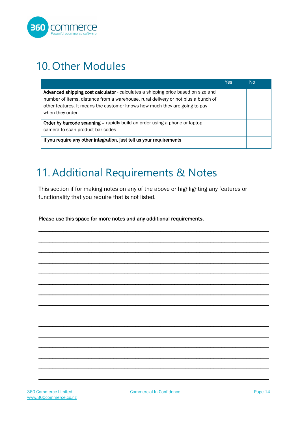

#### <span id="page-13-0"></span>10. Other Modules

|                                                                                                                                                                                                                                                                          | <b>Yes</b> | No |
|--------------------------------------------------------------------------------------------------------------------------------------------------------------------------------------------------------------------------------------------------------------------------|------------|----|
| Advanced shipping cost calculator - calculates a shipping price based on size and<br>number of items, distance from a warehouse, rural delivery or not plus a bunch of<br>other features. It means the customer knows how much they are going to pay<br>when they order. |            |    |
| Order by barcode scanning – rapidly build an order using a phone or laptop<br>camera to scan product bar codes                                                                                                                                                           |            |    |
| If you require any other integration, just tell us your requirements                                                                                                                                                                                                     |            |    |

#### <span id="page-13-1"></span>11.Additional Requirements & Notes

This section if for making notes on any of the above or highlighting any features or functionality that you require that is not listed.

\_\_\_\_\_\_\_\_\_\_\_\_\_\_\_\_\_\_\_\_\_\_\_\_\_\_\_\_\_\_\_\_\_\_\_\_\_\_\_\_\_\_\_\_\_\_\_\_\_\_\_\_\_\_\_\_\_\_\_\_\_\_\_\_\_\_\_\_\_\_\_\_\_\_\_\_\_\_\_\_\_\_\_

\_\_\_\_\_\_\_\_\_\_\_\_\_\_\_\_\_\_\_\_\_\_\_\_\_\_\_\_\_\_\_\_\_\_\_\_\_\_\_\_\_\_\_\_\_\_\_\_\_\_\_\_\_\_\_\_\_\_\_\_\_\_\_\_\_\_\_\_\_\_\_\_\_\_\_\_\_\_\_\_\_\_\_

\_\_\_\_\_\_\_\_\_\_\_\_\_\_\_\_\_\_\_\_\_\_\_\_\_\_\_\_\_\_\_\_\_\_\_\_\_\_\_\_\_\_\_\_\_\_\_\_\_\_\_\_\_\_\_\_\_\_\_\_\_\_\_\_\_\_\_\_\_\_\_\_\_\_\_\_\_\_\_\_\_\_\_

\_\_\_\_\_\_\_\_\_\_\_\_\_\_\_\_\_\_\_\_\_\_\_\_\_\_\_\_\_\_\_\_\_\_\_\_\_\_\_\_\_\_\_\_\_\_\_\_\_\_\_\_\_\_\_\_\_\_\_\_\_\_\_\_\_\_\_\_\_\_\_\_\_\_\_\_\_\_\_\_\_\_\_

\_\_\_\_\_\_\_\_\_\_\_\_\_\_\_\_\_\_\_\_\_\_\_\_\_\_\_\_\_\_\_\_\_\_\_\_\_\_\_\_\_\_\_\_\_\_\_\_\_\_\_\_\_\_\_\_\_\_\_\_\_\_\_\_\_\_\_\_\_\_\_\_\_\_\_\_\_\_\_\_\_\_\_

\_\_\_\_\_\_\_\_\_\_\_\_\_\_\_\_\_\_\_\_\_\_\_\_\_\_\_\_\_\_\_\_\_\_\_\_\_\_\_\_\_\_\_\_\_\_\_\_\_\_\_\_\_\_\_\_\_\_\_\_\_\_\_\_\_\_\_\_\_\_\_\_\_\_\_\_\_\_\_\_\_\_\_

\_\_\_\_\_\_\_\_\_\_\_\_\_\_\_\_\_\_\_\_\_\_\_\_\_\_\_\_\_\_\_\_\_\_\_\_\_\_\_\_\_\_\_\_\_\_\_\_\_\_\_\_\_\_\_\_\_\_\_\_\_\_\_\_\_\_\_\_\_\_\_\_\_\_\_\_\_\_\_\_\_\_\_

\_\_\_\_\_\_\_\_\_\_\_\_\_\_\_\_\_\_\_\_\_\_\_\_\_\_\_\_\_\_\_\_\_\_\_\_\_\_\_\_\_\_\_\_\_\_\_\_\_\_\_\_\_\_\_\_\_\_\_\_\_\_\_\_\_\_\_\_\_\_\_\_\_\_\_\_\_\_\_\_\_\_\_

\_\_\_\_\_\_\_\_\_\_\_\_\_\_\_\_\_\_\_\_\_\_\_\_\_\_\_\_\_\_\_\_\_\_\_\_\_\_\_\_\_\_\_\_\_\_\_\_\_\_\_\_\_\_\_\_\_\_\_\_\_\_\_\_\_\_\_\_\_\_\_\_\_\_\_\_\_\_\_\_\_\_\_

\_\_\_\_\_\_\_\_\_\_\_\_\_\_\_\_\_\_\_\_\_\_\_\_\_\_\_\_\_\_\_\_\_\_\_\_\_\_\_\_\_\_\_\_\_\_\_\_\_\_\_\_\_\_\_\_\_\_\_\_\_\_\_\_\_\_\_\_\_\_\_\_\_\_\_\_\_\_\_\_\_\_\_

\_\_\_\_\_\_\_\_\_\_\_\_\_\_\_\_\_\_\_\_\_\_\_\_\_\_\_\_\_\_\_\_\_\_\_\_\_\_\_\_\_\_\_\_\_\_\_\_\_\_\_\_\_\_\_\_\_\_\_\_\_\_\_\_\_\_\_\_\_\_\_\_\_\_\_\_\_\_\_\_\_\_\_

\_\_\_\_\_\_\_\_\_\_\_\_\_\_\_\_\_\_\_\_\_\_\_\_\_\_\_\_\_\_\_\_\_\_\_\_\_\_\_\_\_\_\_\_\_\_\_\_\_\_\_\_\_\_\_\_\_\_\_\_\_\_\_\_\_\_\_\_\_\_\_\_\_\_\_\_\_\_\_\_\_\_\_

\_\_\_\_\_\_\_\_\_\_\_\_\_\_\_\_\_\_\_\_\_\_\_\_\_\_\_\_\_\_\_\_\_\_\_\_\_\_\_\_\_\_\_\_\_\_\_\_\_\_\_\_\_\_\_\_\_\_\_\_\_\_\_\_\_\_\_\_\_\_\_\_\_\_\_\_\_\_\_\_\_\_\_

\_\_\_\_\_\_\_\_\_\_\_\_\_\_\_\_\_\_\_\_\_\_\_\_\_\_\_\_\_\_\_\_\_\_\_\_\_\_\_\_\_\_\_\_\_\_\_\_\_\_\_\_\_\_\_\_\_\_\_\_\_\_\_\_\_\_\_\_\_\_\_\_\_\_\_\_\_\_\_\_\_\_\_

\_\_\_\_\_\_\_\_\_\_\_\_\_\_\_\_\_\_\_\_\_\_\_\_\_\_\_\_\_\_\_\_\_\_\_\_\_\_\_\_\_\_\_\_\_\_\_\_\_\_\_\_\_\_\_\_\_\_\_\_\_\_\_\_\_\_\_\_\_\_\_\_\_\_\_\_\_\_\_\_\_\_\_

Please use this space for more notes and any additional requirements.